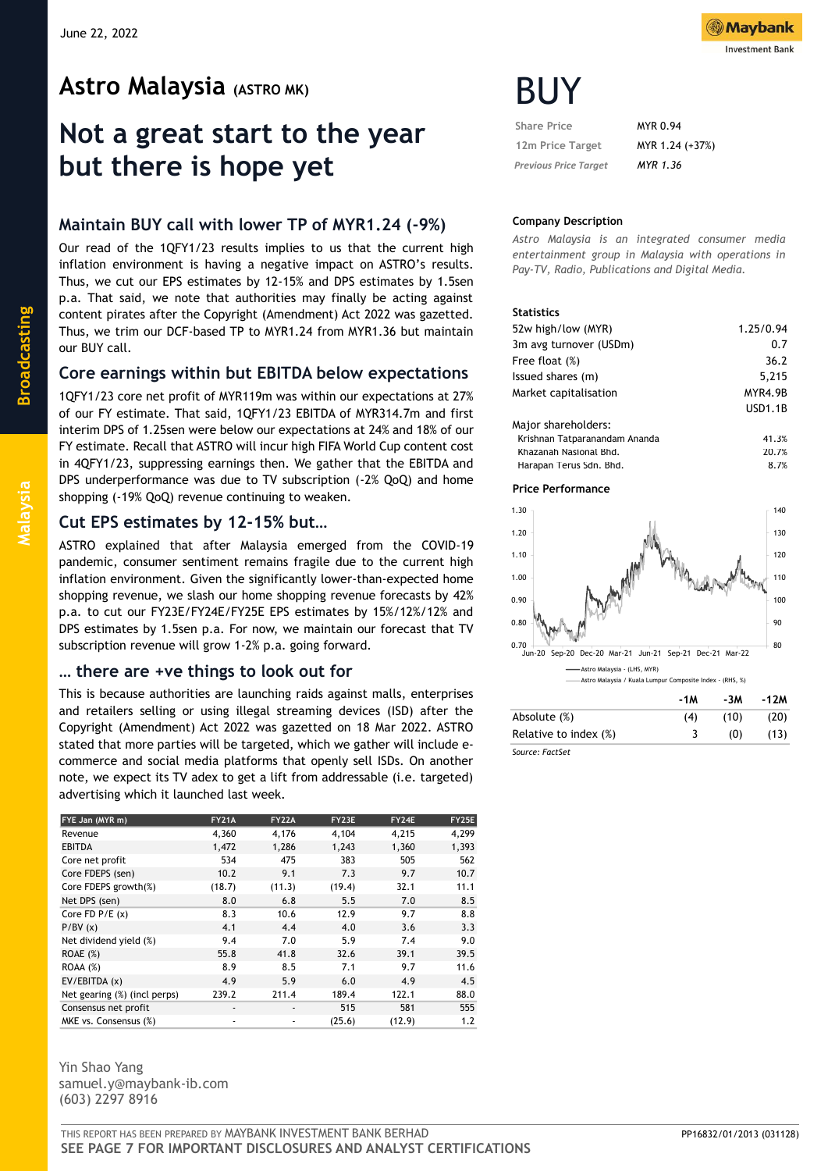# **Astro Malaysia (ASTRO MK)**

# **Not a great start to the year but there is hope yet**

# **Maintain BUY call with lower TP of MYR1.24 (-9%)**

Our read of the 1QFY1/23 results implies to us that the current high inflation environment is having a negative impact on ASTRO's results. Thus, we cut our EPS estimates by 12-15% and DPS estimates by 1.5sen p.a. That said, we note that authorities may finally be acting against content pirates after the Copyright (Amendment) Act 2022 was gazetted. Thus, we trim our DCF-based TP to MYR1.24 from MYR1.36 but maintain our BUY call.

# **Core earnings within but EBITDA below expectations**

1QFY1/23 core net profit of MYR119m was within our expectations at 27% of our FY estimate. That said, 1QFY1/23 EBITDA of MYR314.7m and first interim DPS of 1.25sen were below our expectations at 24% and 18% of our FY estimate. Recall that ASTRO will incur high FIFA World Cup content cost in 4QFY1/23, suppressing earnings then. We gather that the EBITDA and DPS underperformance was due to TV subscription (-2% QoQ) and home shopping (-19% QoQ) revenue continuing to weaken.

## **Cut EPS estimates by 12-15% but…**

ASTRO explained that after Malaysia emerged from the COVID-19 pandemic, consumer sentiment remains fragile due to the current high inflation environment. Given the significantly lower-than-expected home shopping revenue, we slash our home shopping revenue forecasts by 42% p.a. to cut our FY23E/FY24E/FY25E EPS estimates by 15%/12%/12% and DPS estimates by 1.5sen p.a. For now, we maintain our forecast that TV subscription revenue will grow 1-2% p.a. going forward.

### **… there are +ve things to look out for**

This is because authorities are launching raids against malls, enterprises and retailers selling or using illegal streaming devices (ISD) after the Copyright (Amendment) Act 2022 was gazetted on 18 Mar 2022. ASTRO stated that more parties will be targeted, which we gather will include ecommerce and social media platforms that openly sell ISDs. On another note, we expect its TV adex to get a lift from addressable (i.e. targeted) advertising which it launched last week.

| FYE Jan (MYR m)              | <b>FY21A</b>                 | <b>FY22A</b>             | FY23E  | FY24E  | FY25E |
|------------------------------|------------------------------|--------------------------|--------|--------|-------|
| Revenue                      | 4,360                        | 4,176                    | 4,104  | 4,215  | 4,299 |
| <b>EBITDA</b>                | 1,472                        | 1,286                    | 1,243  | 1,360  | 1,393 |
| Core net profit              | 534                          | 475                      | 383    | 505    | 562   |
| Core FDEPS (sen)             | 10.2                         | 9.1                      | 7.3    | 9.7    | 10.7  |
| Core FDEPS growth(%)         | (18.7)                       | (11.3)                   | (19.4) | 32.1   | 11.1  |
| Net DPS (sen)                | 8.0                          | 6.8                      | 5.5    | 7.0    | 8.5   |
| Core $FD$ $P/E$ $(x)$        | 8.3                          | 10.6                     | 12.9   | 9.7    | 8.8   |
| P/BV(x)                      | 4.1                          | 4.4                      | 4.0    | 3.6    | 3.3   |
| Net dividend yield (%)       | 9.4                          | 7.0                      | 5.9    | 7.4    | 9.0   |
| ROAE(%)                      | 55.8                         | 41.8                     | 32.6   | 39.1   | 39.5  |
| ROAA(%)                      | 8.9                          | 8.5                      | 7.1    | 9.7    | 11.6  |
| EV/EBITDA (x)                | 4.9                          | 5.9                      | 6.0    | 4.9    | 4.5   |
| Net gearing (%) (incl perps) | 239.2                        | 211.4                    | 189.4  | 122.1  | 88.0  |
| Consensus net profit         | $\qquad \qquad \blacksquare$ | $\overline{\phantom{a}}$ | 515    | 581    | 555   |
| MKE vs. Consensus (%)        | $\overline{\phantom{a}}$     | ٠                        | (25.6) | (12.9) | 1.2   |

Yin Shao Yang samuel.y@maybank-ib.com (603) 2297 8916



# BUY

| <b>Share Price</b>           | MYR 0.94        |
|------------------------------|-----------------|
| 12m Price Target             | MYR 1.24 (+37%) |
| <b>Previous Price Target</b> | MYR 1.36        |

#### **Company Description**

*Astro Malaysia is an integrated consumer media entertainment group in Malaysia with operations in Pay-TV, Radio, Publications and Digital Media.*

#### **Statistics**

| 52w high/low (MYR)            | 1.25/0.94      |
|-------------------------------|----------------|
| 3m avg turnover (USDm)        | 0.7            |
| Free float (%)                | 36.2           |
| Issued shares (m)             | 5,215          |
| Market capitalisation         | MYR4.9B        |
|                               | <b>USD1.1B</b> |
| Major shareholders:           |                |
| Krishnan Tatparanandam Ananda | 41.3%          |
| Khazanah Nasional Bhd.        | 20.7%          |
| Harapan Terus Sdn. Bhd.       | 8.7%           |

#### **Price Performance**



|                       | - 1 M | -3M  | -1ZM |
|-----------------------|-------|------|------|
| Absolute (%)          | (4)   | (10) | (20) |
| Relative to index (%) |       | (0)  | (13) |
| Source: FactSet       |       |      |      |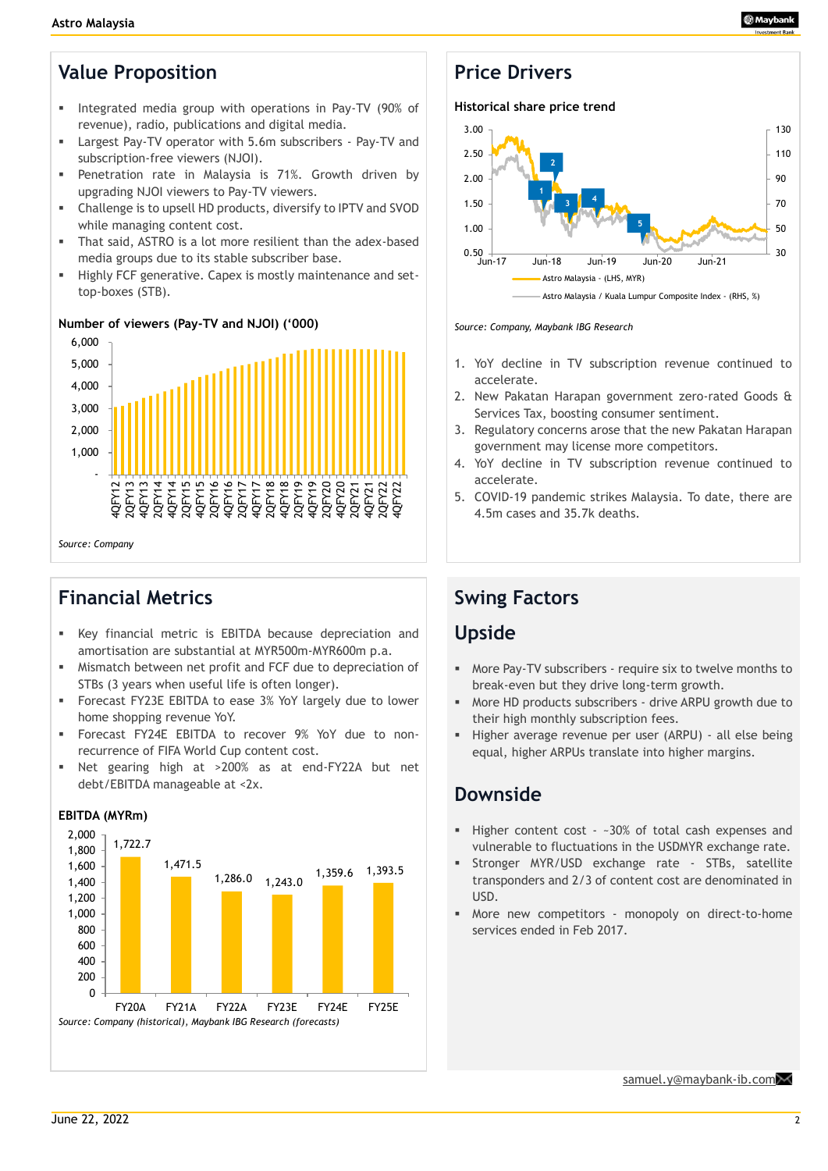# **Value Proposition**

- Integrated media group with operations in Pay-TV (90% of revenue), radio, publications and digital media.
- Largest Pay-TV operator with 5.6m subscribers Pay-TV and subscription-free viewers (NJOI).
- Penetration rate in Malaysia is 71%. Growth driven by upgrading NJOI viewers to Pay-TV viewers.
- Challenge is to upsell HD products, diversify to IPTV and SVOD while managing content cost.
- That said, ASTRO is a lot more resilient than the adex-based media groups due to its stable subscriber base.
- **EXECT:** Highly FCF generative. Capex is mostly maintenance and settop-boxes (STB).

### **Number of viewers (Pay-TV and NJOI) ('000)**



*Source: Company*

# **Financial Metrics**

- Key financial metric is EBITDA because depreciation and amortisation are substantial at MYR500m-MYR600m p.a.
- Mismatch between net profit and FCF due to depreciation of STBs (3 years when useful life is often longer).
- **EXEC** FY23E EBITDA to ease 3% YoY largely due to lower home shopping revenue YoY.
- Forecast FY24E EBITDA to recover 9% YoY due to nonrecurrence of FIFA World Cup content cost.
- Net gearing high at >200% as at end-FY22A but net debt/EBITDA manageable at <2x.



### **EBITDA (MYRm)**

# **Price Drivers**

#### **Historical share price trend**



#### *Source: Company, Maybank IBG Research*

- 1. YoY decline in TV subscription revenue continued to accelerate.
- 2. New Pakatan Harapan government zero-rated Goods & Services Tax, boosting consumer sentiment.
- 3. Regulatory concerns arose that the new Pakatan Harapan government may license more competitors.
- 4. YoY decline in TV subscription revenue continued to accelerate.
- 5. COVID-19 pandemic strikes Malaysia. To date, there are 4.5m cases and 35.7k deaths.

# **Swing Factors**

# **Upside**

- More Pay-TV subscribers require six to twelve months to break-even but they drive long-term growth.
- More HD products subscribers drive ARPU growth due to their high monthly subscription fees.
- Higher average revenue per user (ARPU) all else being equal, higher ARPUs translate into higher margins.

# **Downside**

- Higher content cost ~30% of total cash expenses and vulnerable to fluctuations in the USDMYR exchange rate.
- **EXPLOSED EXAGAGE 15 STBS, Satellite** Stronger MYR/USD exchange rate STBs, satellite transponders and 2/3 of content cost are denominated in USD.
- More new competitors monopoly on direct-to-home services ended in Feb 2017.

[samuel.y@maybank-ib.com](mailto:samuel.y@maybank-ib.com)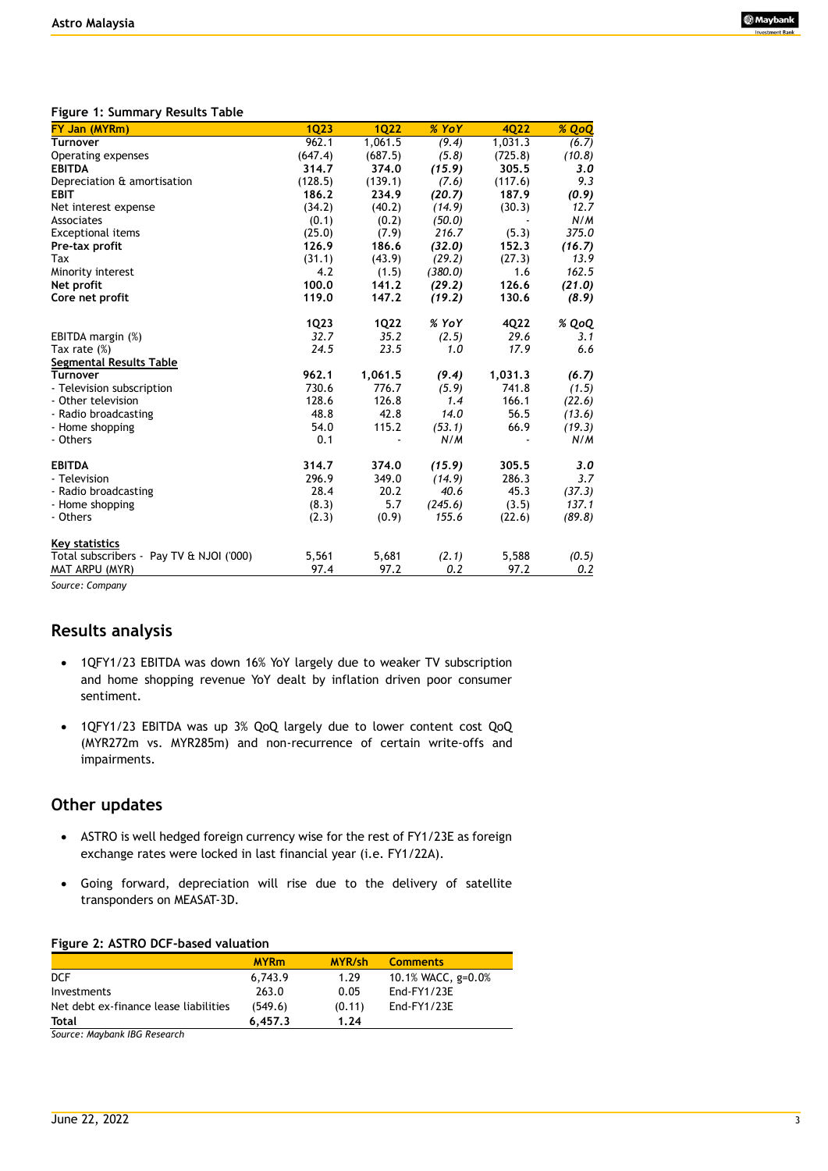#### **Figure 1: Summary Results Table**

|       |                                                                                                                                                                                           |                                                                                                                                                                                                   |                                                                                                                                                                                               | % QoQ                                                                                                                                                                       |
|-------|-------------------------------------------------------------------------------------------------------------------------------------------------------------------------------------------|---------------------------------------------------------------------------------------------------------------------------------------------------------------------------------------------------|-----------------------------------------------------------------------------------------------------------------------------------------------------------------------------------------------|-----------------------------------------------------------------------------------------------------------------------------------------------------------------------------|
|       |                                                                                                                                                                                           |                                                                                                                                                                                                   |                                                                                                                                                                                               | (6.7)                                                                                                                                                                       |
|       |                                                                                                                                                                                           |                                                                                                                                                                                                   |                                                                                                                                                                                               | (10.8)                                                                                                                                                                      |
|       |                                                                                                                                                                                           |                                                                                                                                                                                                   |                                                                                                                                                                                               | 3.0                                                                                                                                                                         |
|       |                                                                                                                                                                                           |                                                                                                                                                                                                   |                                                                                                                                                                                               | 9.3                                                                                                                                                                         |
|       |                                                                                                                                                                                           |                                                                                                                                                                                                   |                                                                                                                                                                                               | (0.9)                                                                                                                                                                       |
|       |                                                                                                                                                                                           |                                                                                                                                                                                                   |                                                                                                                                                                                               | 12.7                                                                                                                                                                        |
|       |                                                                                                                                                                                           |                                                                                                                                                                                                   |                                                                                                                                                                                               | N/M                                                                                                                                                                         |
|       |                                                                                                                                                                                           |                                                                                                                                                                                                   |                                                                                                                                                                                               | 375.0                                                                                                                                                                       |
|       |                                                                                                                                                                                           |                                                                                                                                                                                                   |                                                                                                                                                                                               | (16.7)                                                                                                                                                                      |
|       |                                                                                                                                                                                           |                                                                                                                                                                                                   |                                                                                                                                                                                               | 13.9                                                                                                                                                                        |
|       |                                                                                                                                                                                           |                                                                                                                                                                                                   |                                                                                                                                                                                               | 162.5                                                                                                                                                                       |
|       |                                                                                                                                                                                           |                                                                                                                                                                                                   |                                                                                                                                                                                               | (21.0)                                                                                                                                                                      |
|       |                                                                                                                                                                                           |                                                                                                                                                                                                   |                                                                                                                                                                                               | (8.9)                                                                                                                                                                       |
|       |                                                                                                                                                                                           |                                                                                                                                                                                                   |                                                                                                                                                                                               |                                                                                                                                                                             |
|       |                                                                                                                                                                                           | % YoY                                                                                                                                                                                             |                                                                                                                                                                                               | % QoQ                                                                                                                                                                       |
| 32.7  | 35.2                                                                                                                                                                                      |                                                                                                                                                                                                   | 29.6                                                                                                                                                                                          | 3.1                                                                                                                                                                         |
| 24.5  | 23.5                                                                                                                                                                                      | 1.0                                                                                                                                                                                               | 17.9                                                                                                                                                                                          | 6.6                                                                                                                                                                         |
|       |                                                                                                                                                                                           |                                                                                                                                                                                                   |                                                                                                                                                                                               |                                                                                                                                                                             |
| 962.1 | 1,061.5                                                                                                                                                                                   | (9.4)                                                                                                                                                                                             | 1,031.3                                                                                                                                                                                       | (6.7)                                                                                                                                                                       |
| 730.6 | 776.7                                                                                                                                                                                     | (5.9)                                                                                                                                                                                             | 741.8                                                                                                                                                                                         | (1.5)                                                                                                                                                                       |
| 128.6 | 126.8                                                                                                                                                                                     | 1.4                                                                                                                                                                                               | 166.1                                                                                                                                                                                         | (22.6)                                                                                                                                                                      |
| 48.8  | 42.8                                                                                                                                                                                      | 14.0                                                                                                                                                                                              | 56.5                                                                                                                                                                                          | (13.6)                                                                                                                                                                      |
| 54.0  | 115.2                                                                                                                                                                                     | (53.1)                                                                                                                                                                                            | 66.9                                                                                                                                                                                          | (19.3)                                                                                                                                                                      |
| 0.1   |                                                                                                                                                                                           | N/M                                                                                                                                                                                               |                                                                                                                                                                                               | N/M                                                                                                                                                                         |
|       |                                                                                                                                                                                           |                                                                                                                                                                                                   |                                                                                                                                                                                               |                                                                                                                                                                             |
|       |                                                                                                                                                                                           |                                                                                                                                                                                                   |                                                                                                                                                                                               | 3.0                                                                                                                                                                         |
|       |                                                                                                                                                                                           |                                                                                                                                                                                                   |                                                                                                                                                                                               | 3.7                                                                                                                                                                         |
|       |                                                                                                                                                                                           |                                                                                                                                                                                                   |                                                                                                                                                                                               | (37.3)                                                                                                                                                                      |
|       |                                                                                                                                                                                           |                                                                                                                                                                                                   |                                                                                                                                                                                               | 137.1                                                                                                                                                                       |
|       |                                                                                                                                                                                           |                                                                                                                                                                                                   |                                                                                                                                                                                               | (89.8)                                                                                                                                                                      |
|       |                                                                                                                                                                                           |                                                                                                                                                                                                   |                                                                                                                                                                                               |                                                                                                                                                                             |
| 5,561 | 5,681                                                                                                                                                                                     | (2.1)                                                                                                                                                                                             | 5,588                                                                                                                                                                                         | (0.5)                                                                                                                                                                       |
| 97.4  | 97.2                                                                                                                                                                                      | 0.2                                                                                                                                                                                               | 97.2                                                                                                                                                                                          | 0.2                                                                                                                                                                         |
|       | <b>1Q23</b><br>962.1<br>(647.4)<br>314.7<br>(128.5)<br>186.2<br>(34.2)<br>(0.1)<br>(25.0)<br>126.9<br>(31.1)<br>4.2<br>100.0<br>119.0<br>1Q23<br>314.7<br>296.9<br>28.4<br>(8.3)<br>(2.3) | <b>1Q22</b><br>1,061.5<br>(687.5)<br>374.0<br>(139.1)<br>234.9<br>(40.2)<br>(0.2)<br>(7.9)<br>186.6<br>(43.9)<br>(1.5)<br>141.2<br>147.2<br><b>1Q22</b><br>374.0<br>349.0<br>20.2<br>5.7<br>(0.9) | % YoY<br>(9.4)<br>(5.8)<br>(15.9)<br>(7.6)<br>(20.7)<br>(14.9)<br>(50.0)<br>216.7<br>(32.0)<br>(29.2)<br>(380.0)<br>(29.2)<br>(19.2)<br>(2.5)<br>(15.9)<br>(14.9)<br>40.6<br>(245.6)<br>155.6 | 4022<br>1,031.3<br>(725.8)<br>305.5<br>(117.6)<br>187.9<br>(30.3)<br>(5.3)<br>152.3<br>(27.3)<br>1.6<br>126.6<br>130.6<br>4Q22<br>305.5<br>286.3<br>45.3<br>(3.5)<br>(22.6) |

*Source: Company* 

#### **Results analysis**

- 1QFY1/23 EBITDA was down 16% YoY largely due to weaker TV subscription and home shopping revenue YoY dealt by inflation driven poor consumer sentiment.
- 1QFY1/23 EBITDA was up 3% QoQ largely due to lower content cost QoQ (MYR272m vs. MYR285m) and non-recurrence of certain write-offs and impairments.

### **Other updates**

- ASTRO is well hedged foreign currency wise for the rest of FY1/23E as foreign exchange rates were locked in last financial year (i.e. FY1/22A).
- Going forward, depreciation will rise due to the delivery of satellite transponders on MEASAT-3D.

#### **Figure 2: ASTRO DCF-based valuation**

|                                       | <b>MYRm</b> | MYR/sh | <b>Comments</b>      |
|---------------------------------------|-------------|--------|----------------------|
| <b>DCF</b>                            | 6.743.9     | 1.29   | 10.1% WACC, $g=0.0%$ |
| Investments                           | 263.0       | 0.05   | End-FY1/23E          |
| Net debt ex-finance lease liabilities | (549.6)     | (0.11) | End-FY1/23E          |
| Total                                 | 6.457.3     | 1.24   |                      |

*Source: Maybank IBG Research*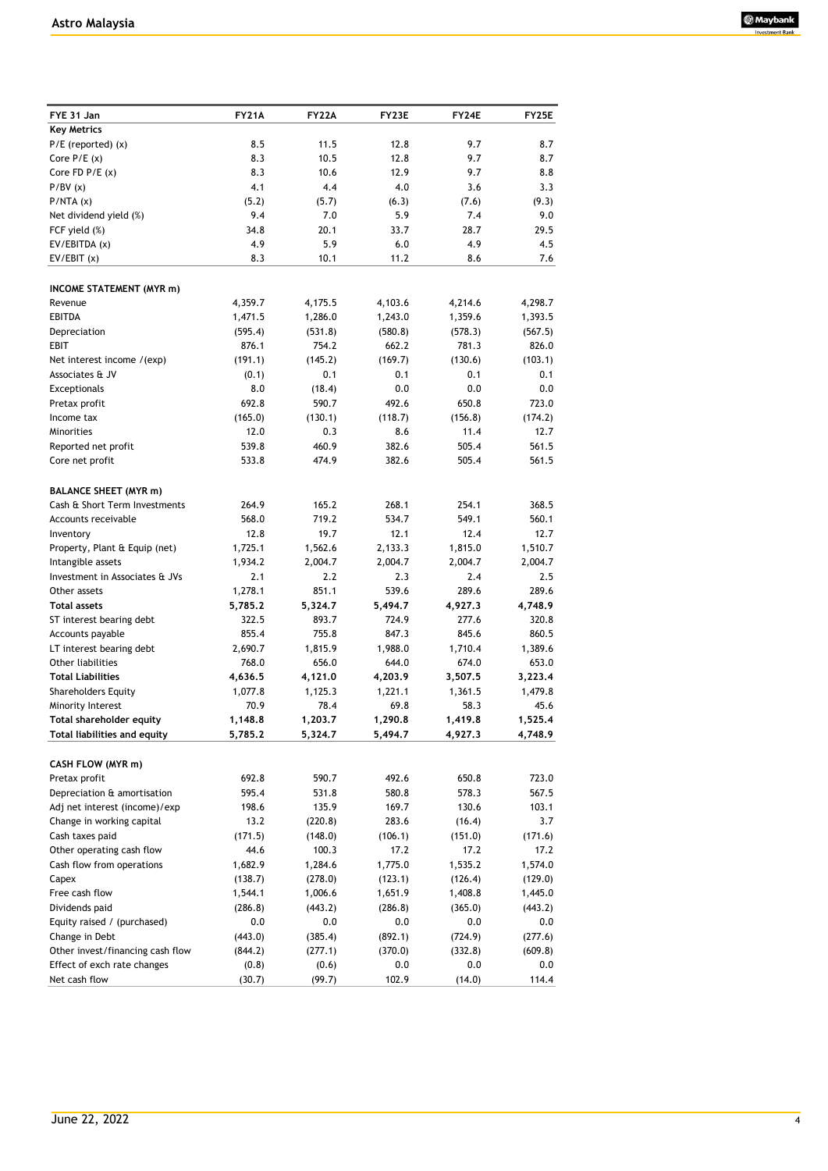

| FYE 31 Jan                       | <b>FY21A</b> | <b>FY22A</b> | FY23E   | FY24E   | <b>FY25E</b> |
|----------------------------------|--------------|--------------|---------|---------|--------------|
| <b>Key Metrics</b>               |              |              |         |         |              |
| $P/E$ (reported) $(x)$           | 8.5          | 11.5         | 12.8    | 9.7     | 8.7          |
| Core $P/E(x)$                    | 8.3          | 10.5         | 12.8    | 9.7     | 8.7          |
| Core FD $P/E(x)$                 | 8.3          | 10.6         | 12.9    | 9.7     | 8.8          |
| P/BV(x)                          | 4.1          | 4.4          | 4.0     | 3.6     | 3.3          |
| P/NTA(x)                         | (5.2)        | (5.7)        | (6.3)   | (7.6)   | (9.3)        |
| Net dividend yield (%)           | 9.4          | 7.0          | 5.9     | 7.4     | 9.0          |
| FCF yield (%)                    | 34.8         | 20.1         | 33.7    | 28.7    | 29.5         |
| EV/EBITDA (x)                    | 4.9          | 5.9          | 6.0     | 4.9     | 4.5          |
| EV/EBIT(x)                       | 8.3          | 10.1         | 11.2    | 8.6     | 7.6          |
| INCOME STATEMENT (MYR m)         |              |              |         |         |              |
| Revenue                          | 4,359.7      | 4,175.5      | 4,103.6 | 4,214.6 | 4,298.7      |
| EBITDA                           | 1,471.5      | 1,286.0      | 1,243.0 | 1,359.6 | 1,393.5      |
| Depreciation                     | (595.4)      | (531.8)      | (580.8) | (578.3) | (567.5)      |
| EBIT                             | 876.1        | 754.2        | 662.2   | 781.3   | 826.0        |
| Net interest income /(exp)       | (191.1)      | (145.2)      | (169.7) | (130.6) | (103.1)      |
| Associates & JV                  | (0.1)        | 0.1          | 0.1     | 0.1     | 0.1          |
| <b>Exceptionals</b>              | 8.0          | (18.4)       | 0.0     | 0.0     | 0.0          |
| Pretax profit                    | 692.8        | 590.7        | 492.6   | 650.8   | 723.0        |
| Income tax                       | (165.0)      | (130.1)      | (118.7) | (156.8) | (174.2)      |
| Minorities                       | 12.0         | 0.3          | 8.6     | 11.4    | 12.7         |
| Reported net profit              | 539.8        | 460.9        | 382.6   | 505.4   | 561.5        |
| Core net profit                  | 533.8        | 474.9        | 382.6   | 505.4   | 561.5        |
|                                  |              |              |         |         |              |
| <b>BALANCE SHEET (MYR m)</b>     |              |              |         |         |              |
| Cash & Short Term Investments    | 264.9        | 165.2        | 268.1   | 254.1   | 368.5        |
| Accounts receivable              | 568.0        | 719.2        | 534.7   | 549.1   | 560.1        |
| Inventory                        | 12.8         | 19.7         | 12.1    | 12.4    | 12.7         |
| Property, Plant & Equip (net)    | 1,725.1      | 1,562.6      | 2,133.3 | 1,815.0 | 1,510.7      |
| Intangible assets                | 1,934.2      | 2,004.7      | 2,004.7 | 2,004.7 | 2,004.7      |
| Investment in Associates & JVs   | 2.1          | 2.2          | 2.3     | 2.4     | 2.5          |
| Other assets                     | 1,278.1      | 851.1        | 539.6   | 289.6   | 289.6        |
| <b>Total assets</b>              | 5,785.2      | 5,324.7      | 5,494.7 | 4,927.3 | 4,748.9      |
| ST interest bearing debt         | 322.5        | 893.7        | 724.9   | 277.6   | 320.8        |
| Accounts payable                 | 855.4        | 755.8        | 847.3   | 845.6   | 860.5        |
| LT interest bearing debt         | 2,690.7      | 1,815.9      | 1,988.0 | 1,710.4 | 1,389.6      |
| Other liabilities                | 768.0        | 656.0        | 644.0   | 674.0   | 653.0        |
| <b>Total Liabilities</b>         | 4,636.5      | 4,121.0      | 4,203.9 | 3,507.5 | 3,223.4      |
| Shareholders Equity              | 1,077.8      | 1,125.3      | 1,221.1 | 1,361.5 | 1,479.8      |
| Minority Interest                | 70.9         | 78.4         | 69.8    | 58.3    | 45.6         |
| Total shareholder equity         | 1,148.8      | 1,203.7      | 1,290.8 | 1,419.8 | 1,525.4      |
| Total liabilities and equity     | 5,785.2      | 5,324.7      | 5,494.7 | 4,927.3 | 4,748.9      |
| CASH FLOW (MYR m)                |              |              |         |         |              |
| Pretax profit                    | 692.8        | 590.7        | 492.6   | 650.8   | 723.0        |
| Depreciation & amortisation      | 595.4        | 531.8        | 580.8   | 578.3   | 567.5        |
| Adj net interest (income)/exp    | 198.6        | 135.9        | 169.7   | 130.6   | 103.1        |
| Change in working capital        | 13.2         | (220.8)      | 283.6   | (16.4)  | 3.7          |
| Cash taxes paid                  | (171.5)      | (148.0)      | (106.1) | (151.0) | (171.6)      |
| Other operating cash flow        | 44.6         | 100.3        | 17.2    | 17.2    | 17.2         |
| Cash flow from operations        | 1,682.9      | 1,284.6      | 1,775.0 | 1,535.2 | 1,574.0      |
| Capex                            | (138.7)      | (278.0)      | (123.1) | (126.4) | (129.0)      |
| Free cash flow                   | 1,544.1      | 1,006.6      | 1,651.9 | 1,408.8 | 1,445.0      |
| Dividends paid                   | (286.8)      | (443.2)      | (286.8) | (365.0) | (443.2)      |
| Equity raised / (purchased)      | 0.0          | 0.0          | 0.0     | 0.0     | 0.0          |
| Change in Debt                   | (443.0)      | (385.4)      | (892.1) | (724.9) | (277.6)      |
| Other invest/financing cash flow | (844.2)      | (277.1)      | (370.0) | (332.8) | (609.8)      |
| Effect of exch rate changes      | (0.8)        | (0.6)        | 0.0     | 0.0     | 0.0          |
| Net cash flow                    | (30.7)       | (99.7)       | 102.9   | (14.0)  | 114.4        |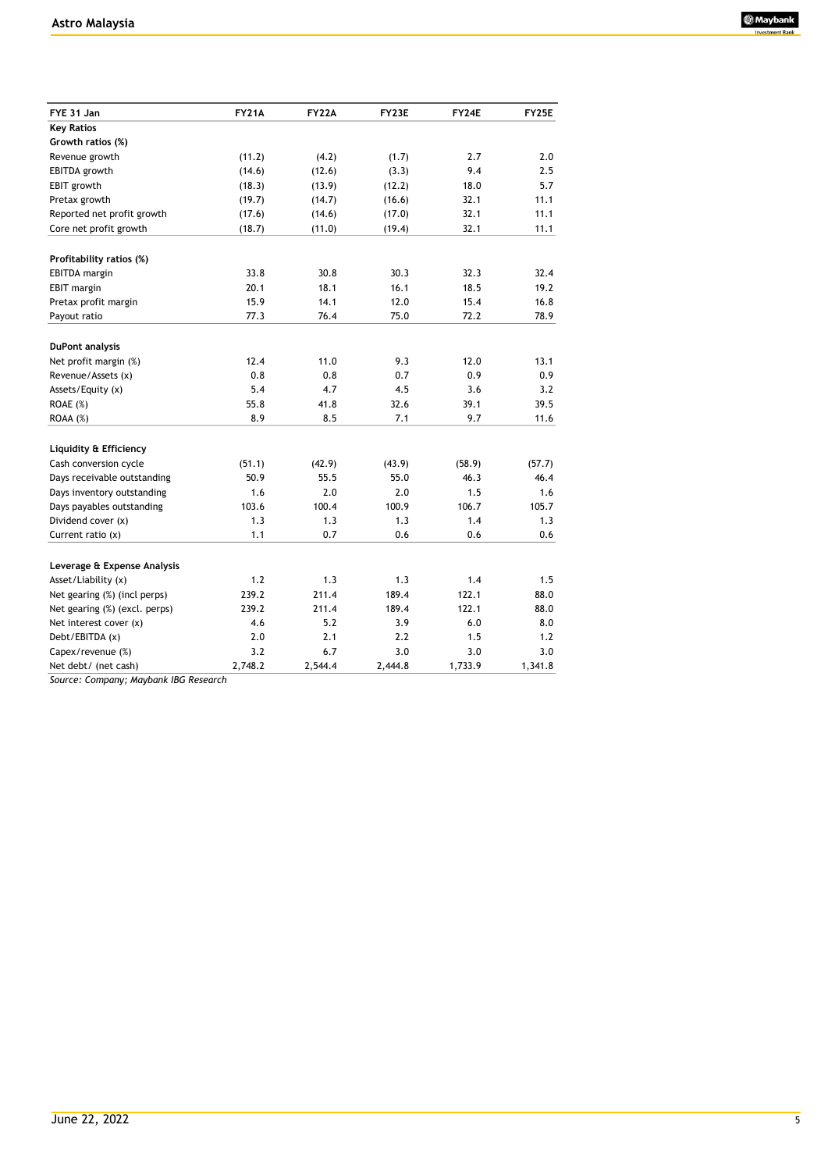

| FYE 31 Jan                    | <b>FY21A</b> | <b>FY22A</b> | FY23E   | FY24E   | <b>FY25E</b> |
|-------------------------------|--------------|--------------|---------|---------|--------------|
| <b>Key Ratios</b>             |              |              |         |         |              |
| Growth ratios (%)             |              |              |         |         |              |
| Revenue growth                | (11.2)       | (4.2)        | (1.7)   | 2.7     | 2.0          |
| EBITDA growth                 | (14.6)       | (12.6)       | (3.3)   | 9.4     | 2.5          |
| <b>EBIT</b> growth            | (18.3)       | (13.9)       | (12.2)  | 18.0    | 5.7          |
| Pretax growth                 | (19.7)       | (14.7)       | (16.6)  | 32.1    | 11.1         |
| Reported net profit growth    | (17.6)       | (14.6)       | (17.0)  | 32.1    | 11.1         |
| Core net profit growth        | (18.7)       | (11.0)       | (19.4)  | 32.1    | 11.1         |
| Profitability ratios (%)      |              |              |         |         |              |
| EBITDA margin                 | 33.8         | 30.8         | 30.3    | 32.3    | 32.4         |
| <b>EBIT</b> margin            | 20.1         | 18.1         | 16.1    | 18.5    | 19.2         |
| Pretax profit margin          | 15.9         | 14.1         | 12.0    | 15.4    | 16.8         |
| Payout ratio                  | 77.3         | 76.4         | 75.0    | 72.2    | 78.9         |
|                               |              |              |         |         |              |
| <b>DuPont analysis</b>        |              |              |         |         |              |
| Net profit margin (%)         | 12.4         | 11.0         | 9.3     | 12.0    | 13.1         |
| Revenue/Assets (x)            | 0.8          | 0.8          | 0.7     | 0.9     | 0.9          |
| Assets/Equity (x)             | 5.4          | 4.7          | 4.5     | 3.6     | 3.2          |
| ROAE (%)                      | 55.8         | 41.8         | 32.6    | 39.1    | 39.5         |
| ROAA (%)                      | 8.9          | 8.5          | 7.1     | 9.7     | 11.6         |
| Liquidity & Efficiency        |              |              |         |         |              |
| Cash conversion cycle         | (51.1)       | (42.9)       | (43.9)  | (58.9)  | (57.7)       |
| Days receivable outstanding   | 50.9         | 55.5         | 55.0    | 46.3    | 46.4         |
| Days inventory outstanding    | 1.6          | 2.0          | 2.0     | 1.5     | 1.6          |
| Days payables outstanding     | 103.6        | 100.4        | 100.9   | 106.7   | 105.7        |
| Dividend cover (x)            | 1.3          | 1.3          | 1.3     | 1.4     | 1.3          |
| Current ratio $(x)$           | 1.1          | 0.7          | 0.6     | 0.6     | 0.6          |
| Leverage & Expense Analysis   |              |              |         |         |              |
| Asset/Liability (x)           | 1.2          | 1.3          | 1.3     | 1.4     | 1.5          |
| Net gearing (%) (incl perps)  | 239.2        | 211.4        | 189.4   | 122.1   | 88.0         |
| Net gearing (%) (excl. perps) | 239.2        | 211.4        | 189.4   | 122.1   | 88.0         |
| Net interest cover (x)        | 4.6          | 5.2          | 3.9     | 6.0     | 8.0          |
| Debt/EBITDA (x)               | 2.0          | 2.1          | 2.2     | 1.5     | 1.2          |
| Capex/revenue (%)             | 3.2          | 6.7          | 3.0     | 3.0     | 3.0          |
| Net debt/ (net cash)          | 2,748.2      | 2,544.4      | 2,444.8 | 1,733.9 | 1,341.8      |

*Source: Company; Maybank IBG Research*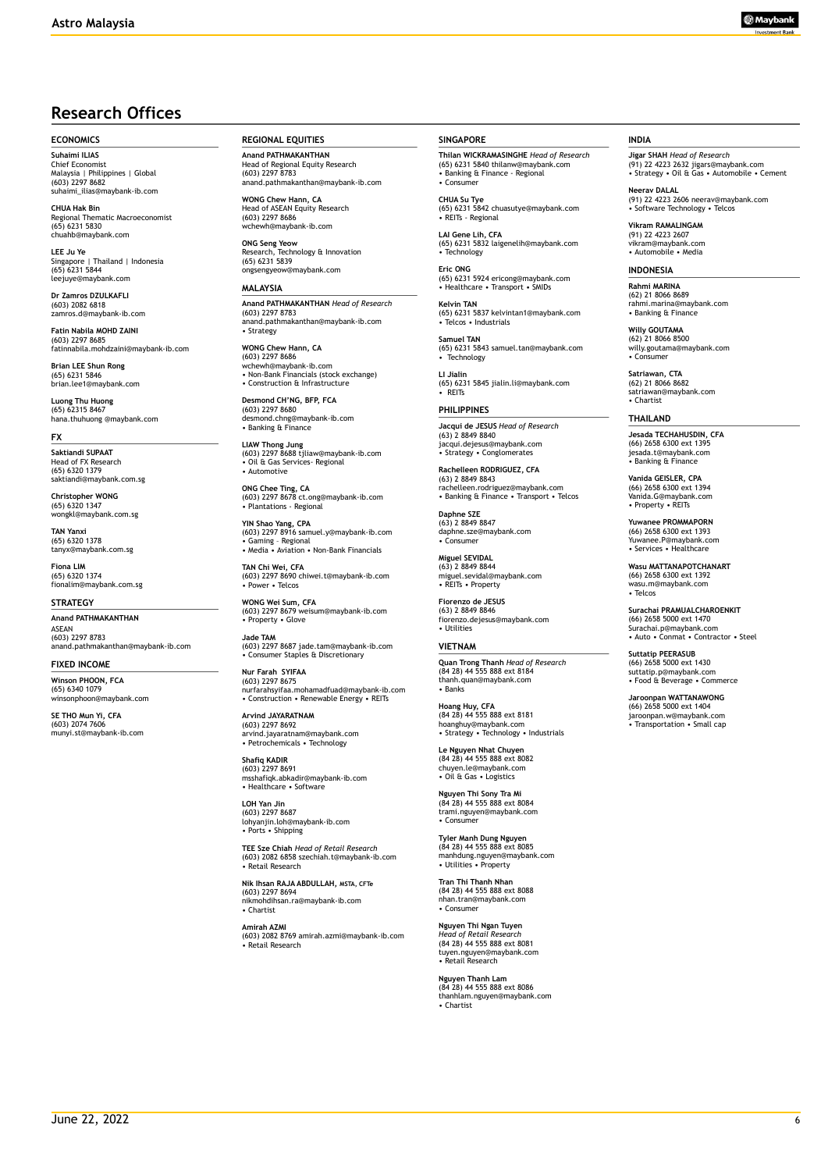# **Research Offices**

#### **ECONOMICS**

**Suhaimi ILIAS** Chief Economist Malaysia | Philippines | Global (603) 2297 8682 suhaimi\_ilias@maybank-ib.com

**CHUA Hak Bin** nal Thematic Macroeconomist (65) 6231 5830 chuahb@maybank.com

**LEE Ju Ye**<br>Singapore | Thailand | Indonesia<br>(65) 6231 5844 leejuye@maybank.com

**Dr Zamros DZULKAFLI**  (603) 2082 6818 zamros.d@maybank-ib.com

**Fatin Nabila MOHD ZAINI** (603) 2297 8685 fatinnabila.mohdzaini@maybank-ib.com

**Brian LEE Shun Rong** (65) 6231 5846 brian.lee1@maybank.com

**Luong Thu Huong** (65) 62315 8467 hana.thuhuong @maybank.com

#### **FX**

**Saktiandi SUPAAT** Head of FX Research (65) 6320 1379 saktiandi@maybank.com.sg

**Christopher WONG** (65) 6320 1347 wongkl@maybank.com.sg

**TAN Yanxi** (65) 6320 1378 tanyx@maybank.com.sg

**Fiona LIM** (65) 6320 1374 fionalim@maybank.com.sg

#### **STRATEGY**

**Anand PATHMAKANTHAN** ASEAN (603) 2297 8783 anand.pathmakanthan@maybank-ib.com

**FIXED INCOME**

**Winson PHOON, FCA** (65) 6340 1079 winsonphoon@maybank.com

**SE THO Mun Yi, CFA** (603) 2074 7606 munyi.st@maybank-ib.com **REGIONAL EQUITIES**

**Anand PATHMAKANTHAN** Head of Regional Equity Research (603) 2297 8783 anand.pathmakanthan@maybank-ib.com

**WONG Chew Hann, CA** Head of ASEAN Equity Research (603) 2297 8686 zz<sub>277</sub> 6666<br>wh@maybank-ib.com

**ONG Seng Yeow** Research, Technology & Innovation (65) 6231 5839 ongsengyeow@maybank.com

#### **MALAYSIA**

**Anand PATHMAKANTHAN** *Head of Research* (603) 2297 8783 anand.pathmakanthan@maybank-ib.com • Strategy

**WONG Chew Hann, CA** (603) 2297 8686 wchewh@maybank-ib.com • Non-Bank Financials (stock exchange) • Construction & Infrastructure

**Desmond CH'NG, BFP, FCA** (603) 2297 8680 desmond.chng@maybank-ib.com • Banking & Finance

**LIAW Thong Jung** (603) 2297 8688 tjliaw@maybank-ib.com • Oil & Gas Services- Regional • Automotive

**ONG Chee Ting, CA** (603) 2297 8678 ct.ong@maybank-ib.com • Plantations - Regional

**YIN Shao Yang, CPA** (603) 2297 8916 samuel.y@maybank-ib.com • Gaming – Regional • Media • Aviation • Non-Bank Financials

**TAN Chi Wei, CFA** (603) 2297 8690 chiwei.t@maybank-ib.com • Power • Telcos

**WONG Wei Sum, CFA** (603) 2297 8679 weisum@maybank-ib.com • Property • Glove

**Jade TAM** (603) 2297 8687 jade.tam@maybank-ib.com • Consumer Staples & Discretionary

**Nur Farah SYIFAA** (603) 2297 8675 nurfarahsyifaa.mohamadfuad@maybank-ib.com • Construction • Renewable Energy • REITs

**Arvind JAYARATNAM** (603) 2297 8692 arvind.jayaratnam@maybank.com • Petrochemicals • Technology

**Shafiq KADIR** (603) 2297 8691 msshafiqk.abkadir@maybank-ib.com • Healthcare • Software

**LOH Yan Jin** (603) 2297 8687 lohyanjin.loh@maybank-ib.com • Ports • Shipping

**TEE Sze Chiah** *Head of Retail Research* (603) 2082 6858 szechiah.t@maybank-ib.com • Retail Research

**Nik Ihsan RAJA ABDULLAH, MSTA, CFTe** (603) 2297 8694 nikmohdihsan.ra@maybank-ib.com • Chartist

**Amirah AZMI**

(603) 2082 8769 amirah.azmi@maybank-ib.com • Retail Research

#### **SINGAPORE**

**Thilan WICKRAMASINGHE** *Head of Research* (65) 6231 5840 thilanw@maybank.com • Banking & Finance - Regional • Consumer

**CHUA Su Tye**  (65) 6231 5842 chuasutye@maybank.com • REITs - Regional

**LAI Gene Lih, CFA** (65) 6231 5832 laigenelih@maybank.com • Technology **Eric ONG**

(65) 6231 5924 ericong@maybank.com • Healthcare • Transport • SMIDs

**Kelvin TAN** (65) 6231 5837 kelvintan1@maybank.com • Telcos • Industrials

**Samuel TAN** (65) 6231 5843 samuel.tan@maybank.com • Technology

**LI Jialin** (65) 6231 5845 jialin.li@maybank.com • REITs

**PHILIPPINES Jacqui de JESUS** *Head of Research* (63) 2 8849 8840 jacqui.dejesus@maybank.com • Strategy • Conglomerates

**Rachelleen RODRIGUEZ, CFA** (63) 2 8849 8843 rachelleen.rodriguez@maybank.com • Banking & Finance • Transport • Telcos

**Daphne SZE** (63) 2 8849 8847 daphne.sze@maybank.com • Consumer

**Miguel SEVIDAL** (63) 2 8849 8844 miguel.sevidal@maybank.com • REITs • Property

**Fiorenzo de JESUS** (63) 2 8849 8846 fiorenzo.dejesus@maybank.com • Utilities

#### **VIETNAM**

**Quan Trong Thanh** *Head of Research* (84 28) 44 555 888 ext 8184 thanh.quan@maybank.com • Banks

**Hoang Huy, CFA** (84 28) 44 555 888 ext 8181 hoanghuy@maybank.com • Strategy • Technology • Industrials

**Le Nguyen Nhat Chuyen** (84 28) 44 555 888 ext 8082 chuyen.le@maybank.com • Oil & Gas • Logistics

**Nguyen Thi Sony Tra Mi** (84 28) 44 555 888 ext 8084 trami.nguyen@maybank.com • Consumer

**Tyler Manh Dung Nguyen** (84 28) 44 555 888 ext 8085 manhdung.nguyen@maybank.com • Utilities • Property

**Tran Thi Thanh Nhan** (84 28) 44 555 888 ext 8088 nhan.tran@maybank.com • Consumer

**Nguyen Thi Ngan Tuyen** *Head of Retail Research* (84 28) 44 555 888 ext 8081 tuyen.nguyen@maybank.com • Retail Research

**Nguyen Thanh Lam** (84 28) 44 555 888 ext 8086 thanhlam.nguyen@maybank.com • Chartist

#### **INDIA**

**Jigar SHAH** *Head of Research* (91) 22 4223 2632 jigars@maybank.com • Strategy • Oil & Gas • Automobile • Cement

**Neerav DALAL** (91) 22 4223 2606 neerav@maybank.com • Software Technology • Telcos

**Vikram RAMALINGAM** (91) 22 4223 2607 vikram@maybank.com • Automobile • Media

#### **INDONESIA**

**Rahmi MARINA** (62) 21 8066 8689 rahmi.marina@maybank.com • Banking & Finance

**Willy GOUTAMA** (62) 21 8066 8500 willy.goutama@maybank.com • Consumer

**Satriawan, CTA** (62) 21 8066 8682 satriawan@maybank.com • Chartist

#### **THAILAND**

**Jesada TECHAHUSDIN, CFA** (66) 2658 6300 ext 1395 jesada.t@maybank.com • Banking & Finance

**Vanida GEISLER, CPA**<br>(66) 2658 6300 ext 1394<br>Vanida.G@maybank.com<br>• Property • REITs

**Yuwanee PROMMAPORN** (66) 2658 6300 ext 1393 Yuwanee.P@maybank.com • Services • Healthcare

**Wasu MATTANAPOTCHANART** (66) 2658 6300 ext 1392 wasu.m@maybank.com • Telcos

**Surachai PRAMUALCHAROENKIT**  (66) 2658 5000 ext 1470 Surachai.p@maybank.com • Auto • Conmat • Contractor • Steel

**Suttatip PEERASUB** (66) 2658 5000 ext 1430 suttatip.p@maybank.com • Food & Beverage • Commerce

**Jaroonpan WATTANAWONG** (66) 2658 5000 ext 1404 jaroonpan.w@maybank.com • Transportation • Small cap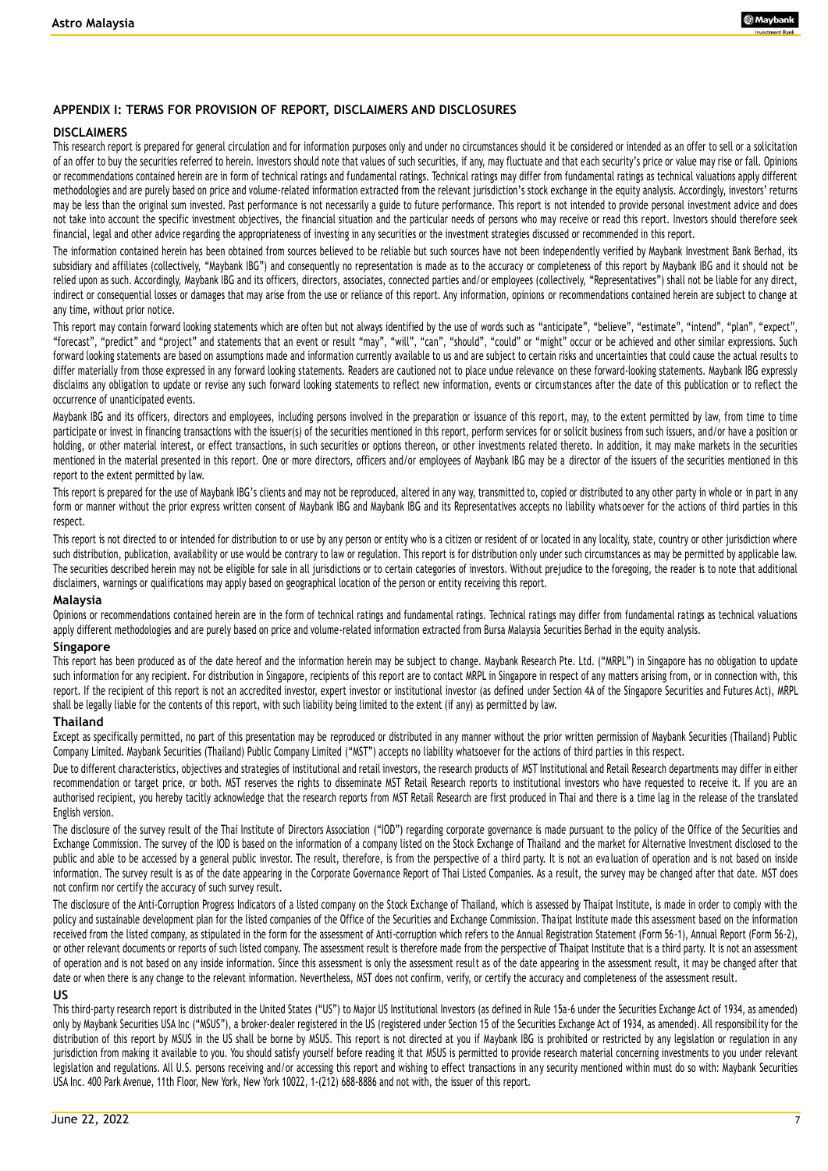#### **APPENDIX I: TERMS FOR PROVISION OF REPORT, DISCLAIMERS AND DISCLOSURES**

#### **DISCLAIMERS**

This research report is prepared for general circulation and for information purposes only and under no circumstances should it be considered or intended as an offer to sell or a solicitation of an offer to buy the securities referred to herein. Investors should note that values of such securities, if any, may fluctuate and that each security's price or value may rise or fall. Opinions or recommendations contained herein are in form of technical ratings and fundamental ratings. Technical ratings may differ from fundamental ratings as technical valuations apply different methodologies and are purely based on price and volume-related information extracted from the relevant jurisdiction's stock exchange in the equity analysis. Accordingly, investors' returns may be less than the original sum invested. Past performance is not necessarily a guide to future performance. This report is not intended to provide personal investment advice and does not take into account the specific investment objectives, the financial situation and the particular needs of persons who may receive or read this report. Investors should therefore seek financial, legal and other advice regarding the appropriateness of investing in any securities or the investment strategies discussed or recommended in this report.

The information contained herein has been obtained from sources believed to be reliable but such sources have not been independently verified by Maybank Investment Bank Berhad, its subsidiary and affiliates (collectively, "Maybank IBG") and consequently no representation is made as to the accuracy or completeness of this report by Maybank IBG and it should not be relied upon as such. Accordingly, Maybank IBG and its officers, directors, associates, connected parties and/or employees (collectively, "Representatives") shall not be liable for any direct, indirect or consequential losses or damages that may arise from the use or reliance of this report. Any information, opinions or recommendations contained herein are subject to change at any time, without prior notice.

This report may contain forward looking statements which are often but not always identified by the use of words such as "anticipate", "believe", "estimate", "intend", "plan", "expect", "forecast", "predict" and "project" and statements that an event or result "may", "will", "can", "should", "could" or "might" occur or be achieved and other similar expressions. Such forward looking statements are based on assumptions made and information currently available to us and are subject to certain risks and uncertainties that could cause the actual results to differ materially from those expressed in any forward looking statements. Readers are cautioned not to place undue relevance on these forward-looking statements. Maybank IBG expressly disclaims any obligation to update or revise any such forward looking statements to reflect new information, events or circumstances after the date of this publication or to reflect the occurrence of unanticipated events.

Maybank IBG and its officers, directors and employees, including persons involved in the preparation or issuance of this report, may, to the extent permitted by law, from time to time participate or invest in financing transactions with the issuer(s) of the securities mentioned in this report, perform services for or solicit business from such issuers, and/or have a position or holding, or other material interest, or effect transactions, in such securities or options thereon, or other investments related thereto. In addition, it may make markets in the securities mentioned in the material presented in this report. One or more directors, officers and/or employees of Maybank IBG may be a director of the issuers of the securities mentioned in this report to the extent permitted by law.

This report is prepared for the use of Maybank IBG's clients and may not be reproduced, altered in any way, transmitted to, copied or distributed to any other party in whole or in part in any form or manner without the prior express written consent of Maybank IBG and Maybank IBG and its Representatives accepts no liability whats oever for the actions of third parties in this respect.

This report is not directed to or intended for distribution to or use by any person or entity who is a citizen or resident of or located in any locality, state, country or other jurisdiction where such distribution, publication, availability or use would be contrary to law or regulation. This report is for distribution only under such circumstances as may be permitted by applicable law. The securities described herein may not be eligible for sale in all jurisdictions or to certain categories of investors. Without prejudice to the foregoing, the reader is to note that additional disclaimers, warnings or qualifications may apply based on geographical location of the person or entity receiving this report.

#### **Malaysia**

Opinions or recommendations contained herein are in the form of technical ratings and fundamental ratings mare differ from fundamental ratings as technical valuations apply different methodologies and are purely based on price and volume-related information extracted from Bursa Malaysia Securities Berhad in the equity analysis.

#### **Singapore**

This report has been produced as of the date hereof and the information herein may be subject to change. Maybank Research Pte. Ltd. ("MRPL") in Singapore has no obligation to update such information for any recipient. For distribution in Singapore, recipients of this report are to contact MRPL in Singapore in respect of any matters arising from, or in connection with, this report. If the recipient of this report is not an accredited investor, expert investor or institutional investor (as defined under Section 4A of the Singapore Securities and Futures Act), MRPL shall be legally liable for the contents of this report, with such liability being limited to the extent (if any) as permitted by law.

#### **Thailand**

Except as specifically permitted, no part of this presentation may be reproduced or distributed in any manner without the prior written permission of Maybank Securities (Thailand) Public Company Limited. Maybank Securities (Thailand) Public Company Limited ("MST") accepts no liability whatsoever for the actions of third parties in this respect.

Due to different characteristics, objectives and strategies of institutional and retail investors, the research products of MST Institutional and Retail Research departments may differ in either recommendation or target price, or both. MST reserves the rights to disseminate MST Retail Research reports to institutional investors who have requested to receive it. If you are an authorised recipient, you hereby tacitly acknowledge that the research reports from MST Retail Research are first produced in Thai and there is a time lag in the release of the translated English version.

The disclosure of the survey result of the Thai Institute of Directors Association ("IOD") regarding corporate governance is made pursuant to the policy of the Office of the Securities and Exchange Commission. The survey of the IOD is based on the information of a company listed on the Stock Exchange of Thailand and the market for Alternative Investment disclosed to the public and able to be accessed by a general public investor. The result, therefore, is from the perspective of a third party. It is not an evaluation of operation and is not based on inside information. The survey result is as of the date appearing in the Corporate Governance Report of Thai Listed Companies. As a result, the survey may be changed after that date. MST does not confirm nor certify the accuracy of such survey result.

The disclosure of the Anti-Corruption Progress Indicators of a listed company on the Stock Exchange of Thailand, which is assessed by Thaipat Institute, is made in order to comply with the policy and sustainable development plan for the listed companies of the Office of the Securities and Exchange Commission. Tha ipat Institute made this assessment based on the information received from the listed company, as stipulated in the form for the assessment of Anti-corruption which refers to the Annual Registration Statement (Form 56-1), Annual Report (Form 56-2), or other relevant documents or reports of such listed company. The assessment result is therefore made from the perspective of Thaipat Institute that is a third party. It is not an assessment of operation and is not based on any inside information. Since this assessment is only the assessment result as of the date appearing in the assessment result, it may be changed after that date or when there is any change to the relevant information. Nevertheless, MST does not confirm, verify, or certify the accuracy and completeness of the assessment result.

#### **US**

This third-party research report is distributed in the United States ("US") to Major US Institutional Investors (as defined in Rule 15a-6 under the Securities Exchange Act of 1934, as amended) only by Maybank Securities USA Inc ("MSUS"), a broker-dealer registered in the US (registered under Section 15 of the Securities Exchange Act of 1934, as amended). All responsibility for the distribution of this report by MSUS in the US shall be borne by MSUS. This report is not directed at you if Maybank IBG is prohibited or restricted by any legislation or regulation in any jurisdiction from making it available to you. You should satisfy yourself before reading it that MSUS is permitted to provide research material concerning investments to you under relevant legislation and regulations. All U.S. persons receiving and/or accessing this report and wishing to effect transactions in any security mentioned within must do so with: Maybank Securities USA Inc. 400 Park Avenue, 11th Floor, New York, New York 10022, 1-(212) 688-8886 and not with, the issuer of this report.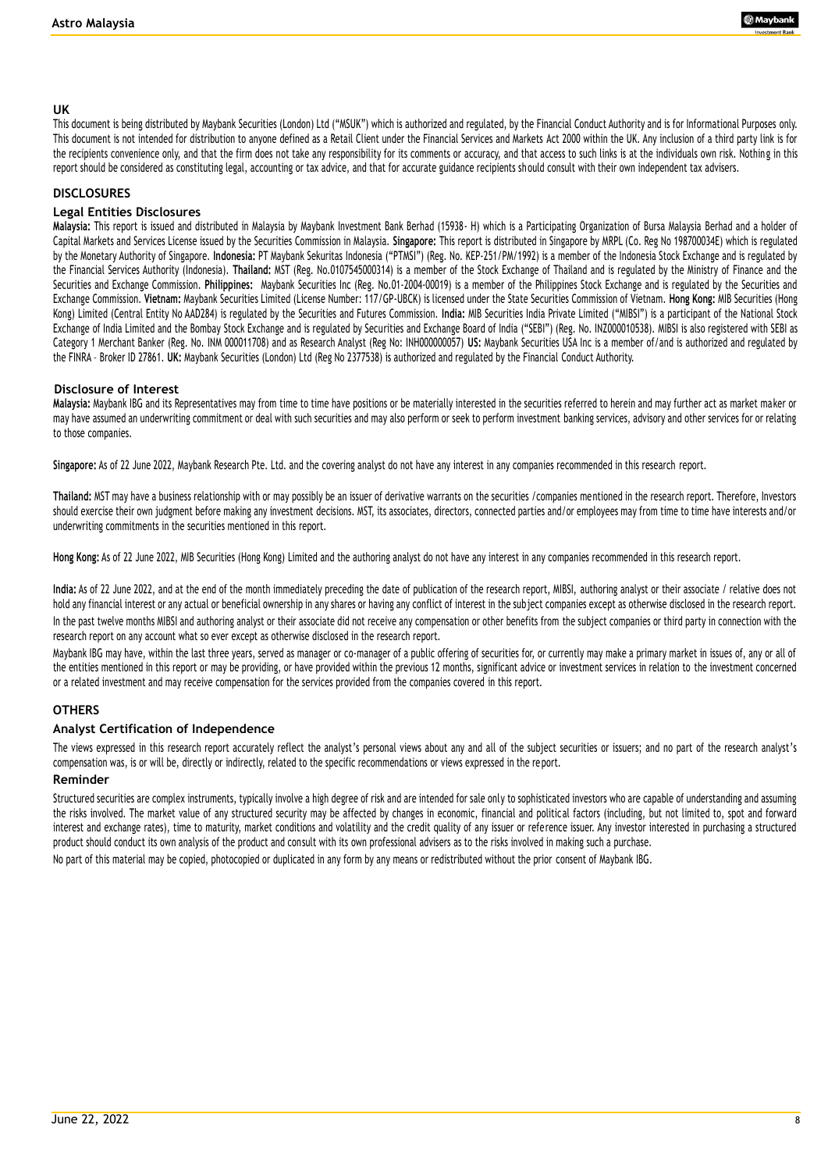#### **UK**

This document is being distributed by Maybank Securities (London) Ltd ("MSUK") which is authorized and regulated, by the Financial Conduct Authority and is for Informational Purposes only. This document is not intended for distribution to anyone defined as a Retail Client under the Financial Services and Markets Act 2000 within the UK. Any inclusion of a third party link is for the recipients convenience only, and that the firm does not take any responsibility for its comments or accuracy, and that access to such links is at the individuals own risk. Nothing in this report should be considered as constituting legal, accounting or tax advice, and that for accurate guidance recipients should consult with their own independent tax advisers.

#### **DISCLOSURES**

#### **Legal Entities Disclosures**

**Malaysia:** This report is issued and distributed in Malaysia by Maybank Investment Bank Berhad (15938- H) which is a Participating Organization of Bursa Malaysia Berhad and a holder of Capital Markets and Services License issued by the Securities Commission in Malaysia. **Singapore:** This report is distributed in Singapore by MRPL (Co. Reg No 198700034E) which is regulated by the Monetary Authority of Singapore. **Indonesia:** PT Maybank Sekuritas Indonesia ("PTMSI") (Reg. No. KEP-251/PM/1992) is a member of the Indonesia Stock Exchange and is regulated by the Financial Services Authority (Indonesia). **Thailand:** MST (Reg. No.0107545000314) is a member of the Stock Exchange of Thailand and is regulated by the Ministry of Finance and the Securities and Exchange Commission. **Philippines:** Maybank Securities Inc (Reg. No.01-2004-00019) is a member of the Philippines Stock Exchange and is regulated by the Securities and Exchange Commission. **Vietnam:** Maybank Securities Limited (License Number: 117/GP-UBCK) is licensed under the State Securities Commission of Vietnam. **Hong Kong:** MIB Securities (Hong Kong) Limited (Central Entity No AAD284) is regulated by the Securities and Futures Commission. **India:** MIB Securities India Private Limited ("MIBSI") is a participant of the National Stock Exchange of India Limited and the Bombay Stock Exchange and is regulated by Securities and Exchange Board of India ("SEBI") (Reg. No. INZ000010538). MIBSI is also registered with SEBI as Category 1 Merchant Banker (Reg. No. INM 000011708) and as Research Analyst (Reg No: INH000000057) **US:** Maybank Securities USA Inc is a member of/and is authorized and regulated by the FINRA – Broker ID 27861. **UK:** Maybank Securities (London) Ltd (Reg No 2377538) is authorized and regulated by the Financial Conduct Authority.

#### **Disclosure of Interest**

**Malaysia:** Maybank IBG and its Representatives may from time to time have positions or be materially interested in the securities referred to herein and may further act as market ma ker or may have assumed an underwriting commitment or deal with such securities and may also perform or seek to perform investment banking services, advisory and other services for or relating to those companies.

**Singapore:** As of 22 June 2022, Maybank Research Pte. Ltd. and the covering analyst do not have any interest in any companies recommended in this research report.

**Thailand:** MST may have a business relationship with or may possibly be an issuer of derivative warrants on the securities /companies mentioned in the research report. Therefore, Investors should exercise their own judgment before making any investment decisions. MST, its associates, directors, connected parties and/or employees may from time to time have interests and/or underwriting commitments in the securities mentioned in this report.

**Hong Kong:** As of 22 June 2022, MIB Securities (Hong Kong) Limited and the authoring analyst do not have any interest in any companies recommended in this research report.

**India:** As of 22 June 2022, and at the end of the month immediately preceding the date of publication of the research report, MIBSI, authoring analyst or their associate / relative does not hold any financial interest or any actual or beneficial ownership in any shares or having any conflict of interest in the subject companies except as otherwise disclosed in the research report. In the past twelve months MIBSI and authoring analyst or their associate did not receive any compensation or other benefits from the subject companies or third party in connection with the research report on any account what so ever except as otherwise disclosed in the research report.

Maybank IBG may have, within the last three years, served as manager or co-manager of a public offering of securities for, or currently may make a primary market in issues of, any or all of the entities mentioned in this report or may be providing, or have provided within the previous 12 months, significant advice or investment services in relation to the investment concerned or a related investment and may receive compensation for the services provided from the companies covered in this report.

#### **OTHERS**

#### **Analyst Certification of Independence**

The views expressed in this research report accurately reflect the analyst's personal views about any and all of the subject securities or issuers; and no part of the research analyst's compensation was, is or will be, directly or indirectly, related to the specific recommendations or views expressed in the report.

#### **Reminder**

Structured securities are complex instruments, typically involve a high degree of risk and are intended for sale only to sophisticated investors who are capable of understanding and assuming the risks involved. The market value of any structured security may be affected by changes in economic, financial and political factors (including, but not limited to, spot and forward interest and exchange rates), time to maturity, market conditions and volatility and the credit quality of any issuer or reference issuer. Any investor interested in purchasing a structured product should conduct its own analysis of the product and consult with its own professional advisers as to the risks involved in making such a purchase.

No part of this material may be copied, photocopied or duplicated in any form by any means or redistributed without the prior consent of Maybank IBG.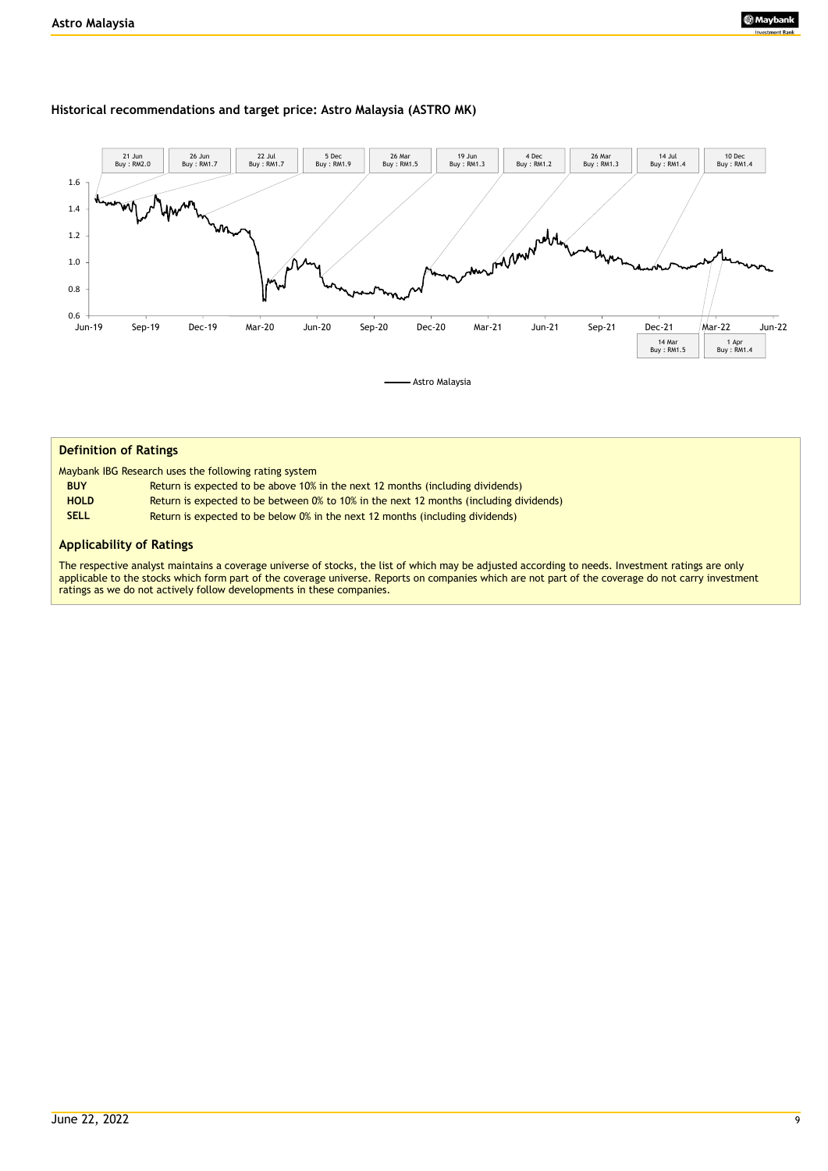#### **Historical recommendations and target price: Astro Malaysia (ASTRO MK)**



| <b>Definition of Ratings</b> |                                                                                        |
|------------------------------|----------------------------------------------------------------------------------------|
|                              | Maybank IBG Research uses the following rating system                                  |
| <b>BUY</b>                   | Return is expected to be above 10% in the next 12 months (including dividends)         |
| <b>HOLD</b>                  | Return is expected to be between 0% to 10% in the next 12 months (including dividends) |
| <b>SELL</b>                  | Return is expected to be below 0% in the next 12 months (including dividends)          |
|                              |                                                                                        |

#### **Applicability of Ratings**

The respective analyst maintains a coverage universe of stocks, the list of which may be adjusted according to needs. Investment ratings are only applicable to the stocks which form part of the coverage universe. Reports on companies which are not part of the coverage do not carry investment ratings as we do not actively follow developments in these companies.